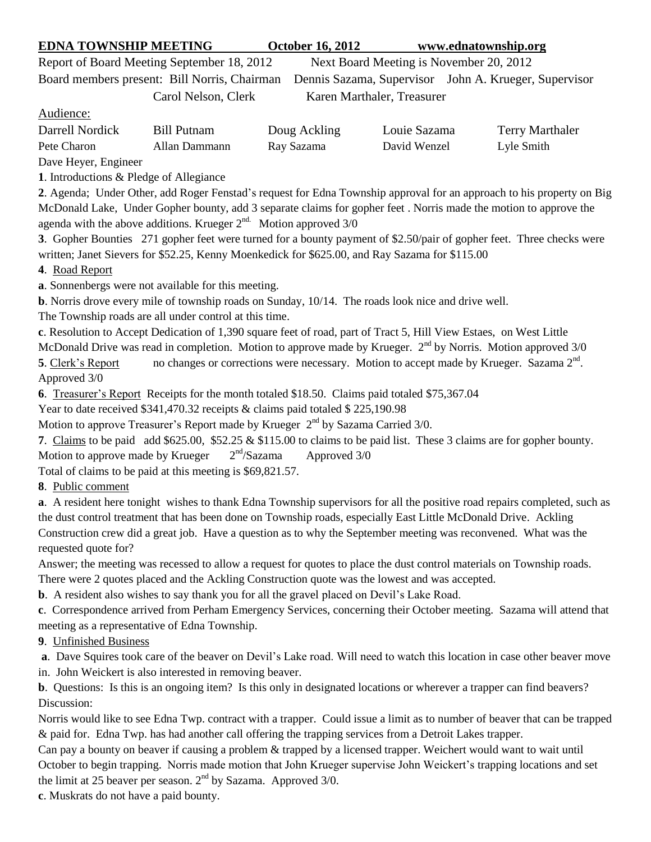## **EDNA TOWNSHIP MEETING October 16, 2012 www.ednatownship.org**

Report of Board Meeting September 18, 2012 Next Board Meeting is November 20, 2012

Board members present: Bill Norris, Chairman Dennis Sazama, Supervisor John A. Krueger, Supervisor Carol Nelson, Clerk Karen Marthaler, Treasurer

Audience:

| Darrell Nordick | <b>Bill Putnam</b> | Doug Ackling | Louie Sazama | <b>Terry Marthaler</b> |
|-----------------|--------------------|--------------|--------------|------------------------|
| Pete Charon     | Allan Dammann      | Ray Sazama   | David Wenzel | Lyle Smith             |

Dave Heyer, Engineer

**1**. Introductions & Pledge of Allegiance

**2**. Agenda; Under Other, add Roger Fenstad's request for Edna Township approval for an approach to his property on Big McDonald Lake, Under Gopher bounty, add 3 separate claims for gopher feet . Norris made the motion to approve the agenda with the above additions. Krueger  $2^{nd}$ . Motion approved  $3/0$ 

**3**. Gopher Bounties 271 gopher feet were turned for a bounty payment of \$2.50/pair of gopher feet. Three checks were written; Janet Sievers for \$52.25, Kenny Moenkedick for \$625.00, and Ray Sazama for \$115.00

**4**. Road Report

**a**. Sonnenbergs were not available for this meeting.

**b**. Norris drove every mile of township roads on Sunday, 10/14. The roads look nice and drive well.

The Township roads are all under control at this time.

**c**. Resolution to Accept Dedication of 1,390 square feet of road, part of Tract 5, Hill View Estaes, on West Little

McDonald Drive was read in completion. Motion to approve made by Krueger.  $2<sup>nd</sup>$  by Norris. Motion approved  $3/0$ 

5. Clerk's Report no changes or corrections were necessary. Motion to accept made by Krueger. Sazama 2<sup>nd</sup>. Approved 3/0

**6**. Treasurer's Report Receipts for the month totaled \$18.50. Claims paid totaled \$75,367.04

Year to date received \$341,470.32 receipts & claims paid totaled \$ 225,190.98

Motion to approve Treasurer's Report made by Krueger  $2<sup>nd</sup>$  by Sazama Carried 3/0.

**7**. Claims to be paid add \$625.00, \$52.25 & \$115.00 to claims to be paid list. These 3 claims are for gopher bounty. Motion to approve made by Krueger  $2<sup>nd</sup>/Sazama$ Approved 3/0

Total of claims to be paid at this meeting is \$69,821.57.

**8**. Public comment

**a**. A resident here tonight wishes to thank Edna Township supervisors for all the positive road repairs completed, such as the dust control treatment that has been done on Township roads, especially East Little McDonald Drive. Ackling Construction crew did a great job. Have a question as to why the September meeting was reconvened. What was the requested quote for?

Answer; the meeting was recessed to allow a request for quotes to place the dust control materials on Township roads. There were 2 quotes placed and the Ackling Construction quote was the lowest and was accepted.

**b**. A resident also wishes to say thank you for all the gravel placed on Devil's Lake Road.

**c**. Correspondence arrived from Perham Emergency Services, concerning their October meeting. Sazama will attend that meeting as a representative of Edna Township.

**9**. Unfinished Business

**a**. Dave Squires took care of the beaver on Devil's Lake road. Will need to watch this location in case other beaver move

in. John Weickert is also interested in removing beaver.

**b**. Questions: Is this is an ongoing item? Is this only in designated locations or wherever a trapper can find beavers? Discussion:

Norris would like to see Edna Twp. contract with a trapper. Could issue a limit as to number of beaver that can be trapped & paid for. Edna Twp. has had another call offering the trapping services from a Detroit Lakes trapper.

Can pay a bounty on beaver if causing a problem & trapped by a licensed trapper. Weichert would want to wait until October to begin trapping. Norris made motion that John Krueger supervise John Weickert's trapping locations and set the limit at 25 beaver per season.  $2<sup>nd</sup>$  by Sazama. Approved 3/0.

**c**. Muskrats do not have a paid bounty.